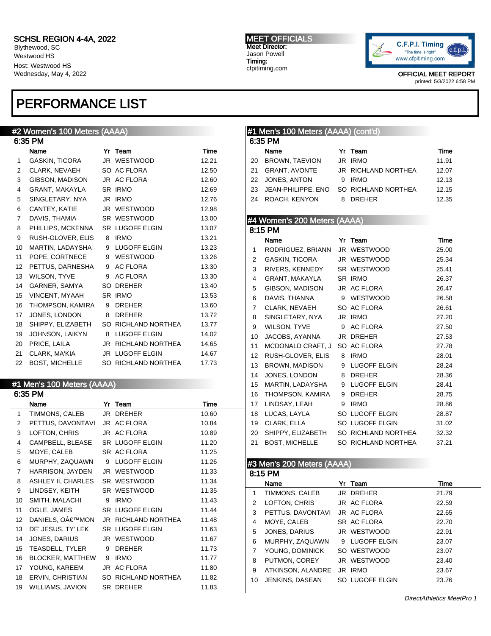Blythewood, SC Westwood HS Host: Westwood HS Wednesday, May 4, 2022

# PERFORMANCE LIST

## #2 Women's 100 Meters (AAAA)

|                | 6:35 PM               |    |                        |       |
|----------------|-----------------------|----|------------------------|-------|
|                | Name                  | Yr | Team                   | Time  |
| 1              | GASKIN, TICORA        |    | JR WESTWOOD            | 12.21 |
| 2              | CLARK, NEVAEH         |    | SO AC FLORA            | 12.50 |
| 3              | GIBSON, MADISON       |    | JR AC FLORA            | 12.60 |
| 4              | GRANT, MAKAYLA        |    | SR IRMO                | 12.69 |
| 5              | SINGLETARY, NYA       |    | JR IRMO                | 12.76 |
| 6              | CANTEY, KATIE         |    | JR WESTWOOD            | 12.98 |
| $\overline{7}$ | DAVIS, THAMIA         |    | SR WESTWOOD            | 13.00 |
| 8              | PHILLIPS, MCKENNA     |    | SR LUGOFF ELGIN        | 13.07 |
| 9              | RUSH-GLOVER, ELIS     | 8  | <b>IRMO</b>            | 13.21 |
| 10             | MARTIN, LADAYSHA      |    | 9 LUGOFF ELGIN         | 13.23 |
| 11             | POPE, CORTNECE        |    | 9 WESTWOOD             | 13.26 |
| 12             | PETTUS, DARNESHA      |    | 9 AC FLORA             | 13.30 |
| 13             | WILSON, TYVE          | 9  | <b>AC FLORA</b>        | 13.30 |
| 14             | GARNER, SAMYA         |    | SO DREHER              | 13.40 |
| 15             | VINCENT, MYAAH        |    | SR IRMO                | 13.53 |
| 16             | THOMPSON, KAMIRA      | 9  | <b>DREHER</b>          | 13.60 |
| 17             | JONES, LONDON         | 8  | <b>DREHER</b>          | 13.72 |
| 18             | SHIPPY, ELIZABETH     |    | SO RICHLAND NORTHEA    | 13.77 |
| 19             | JOHNSON, LAIKYN       | 8  | <b>LUGOFF ELGIN</b>    | 14.02 |
| 20             | PRICE, LAILA          | JR | RICHLAND NORTHEA       | 14.65 |
| 21             | CLARK, MA'KIA         |    | <b>JR LUGOFF ELGIN</b> | 14.67 |
| 22             | <b>BOST, MICHELLE</b> |    | SO RICHLAND NORTHEA    | 17.73 |

## #1 Men's 100 Meters (AAAA)

| 6:35 PM         |                                  |    |                        |       |  |  |  |
|-----------------|----------------------------------|----|------------------------|-------|--|--|--|
|                 | Name                             | Yr | Team                   | Time  |  |  |  |
| 1               | TIMMONS, CALEB                   |    | JR DREHER              | 10.60 |  |  |  |
| 2               | PETTUS, DAVONTAVI JR AC FLORA    |    |                        | 10.84 |  |  |  |
| 3               | LOFTON, CHRIS                    |    | JR AC FLORA            | 10.89 |  |  |  |
| 4               | CAMPBELL, BLEASE SR LUGOFF ELGIN |    |                        | 11.20 |  |  |  |
| 5               | MOYE, CALEB                      |    | SR AC FLORA            | 11.25 |  |  |  |
| 6               | MURPHY, ZAQUAWN                  |    | 9 LUGOFF ELGIN         | 11.26 |  |  |  |
| $\overline{7}$  | HARRISON, JAYDEN                 |    | JR WESTWOOD            | 11.33 |  |  |  |
| 8               | ASHLEY II, CHARLES SR WESTWOOD   |    |                        | 11.34 |  |  |  |
| 9               | LINDSEY, KEITH                   |    | SR WESTWOOD            | 11.35 |  |  |  |
| 10              | SMITH, MALACHI                   | 9  | <b>IRMO</b>            | 11.43 |  |  |  |
| 11              | OGLE, JAMES                      |    | <b>SR LUGOFF ELGIN</b> | 11.44 |  |  |  |
| 12 <sup>2</sup> | DANIELS, O€™MON                  |    | JR RICHLAND NORTHEA    | 11.48 |  |  |  |
| 13              | DE' JESUS, TY' LEK               |    | SR LUGOFF ELGIN        | 11.63 |  |  |  |
| 14              | JONES, DARIUS                    |    | JR WESTWOOD            | 11.67 |  |  |  |
| 15              | TEASDELL, TYLER                  | 9  | <b>DREHER</b>          | 11.73 |  |  |  |
| 16              | <b>BLOCKER, MATTHEW</b>          | 9  | <b>IRMO</b>            | 11.77 |  |  |  |
| 17              | YOUNG, KAREEM                    |    | JR AC FLORA            | 11.80 |  |  |  |
| 18              | ERVIN, CHRISTIAN                 |    | SO RICHLAND NORTHEA    | 11.82 |  |  |  |
| 19              | WILLIAMS, JAVION                 |    | SR DREHER              | 11.83 |  |  |  |

MEET OFFICIALS Meet Director: Jason Powell Timing: cfpitiming.com



OFFICIAL MEET REPORT printed: 5/3/2022 6:58 PM

### #1 Men's 100 Meters (AAAA) (cont'd) 6:35 PM Name Yr Team Time 20 BROWN, TAEVION JR IRMO 11.91 GRANT, AVONTE JR RICHLAND NORTHEA 12.07 22 JONES, ANTON 9 IRMO 12.13 JEAN-PHILIPPE, ENO SO RICHLAND NORTHEA 12.15 24 ROACH, KENYON 8 DREHER 12.35

### #4 Women's 200 Meters (AAAA)

| 8:15 PM               |  |                                                                                                                                                                    |                                                                                                                                                                                                                                                                                                                                                                                                                                                                                                 |  |  |  |  |
|-----------------------|--|--------------------------------------------------------------------------------------------------------------------------------------------------------------------|-------------------------------------------------------------------------------------------------------------------------------------------------------------------------------------------------------------------------------------------------------------------------------------------------------------------------------------------------------------------------------------------------------------------------------------------------------------------------------------------------|--|--|--|--|
| Name                  |  |                                                                                                                                                                    | Time                                                                                                                                                                                                                                                                                                                                                                                                                                                                                            |  |  |  |  |
|                       |  |                                                                                                                                                                    | 25.00                                                                                                                                                                                                                                                                                                                                                                                                                                                                                           |  |  |  |  |
|                       |  |                                                                                                                                                                    | 25.34                                                                                                                                                                                                                                                                                                                                                                                                                                                                                           |  |  |  |  |
|                       |  |                                                                                                                                                                    | 25.41                                                                                                                                                                                                                                                                                                                                                                                                                                                                                           |  |  |  |  |
|                       |  |                                                                                                                                                                    | 26.37                                                                                                                                                                                                                                                                                                                                                                                                                                                                                           |  |  |  |  |
|                       |  |                                                                                                                                                                    | 26.47                                                                                                                                                                                                                                                                                                                                                                                                                                                                                           |  |  |  |  |
|                       |  |                                                                                                                                                                    | 26.58                                                                                                                                                                                                                                                                                                                                                                                                                                                                                           |  |  |  |  |
|                       |  |                                                                                                                                                                    | 26.61                                                                                                                                                                                                                                                                                                                                                                                                                                                                                           |  |  |  |  |
|                       |  |                                                                                                                                                                    | 27.20                                                                                                                                                                                                                                                                                                                                                                                                                                                                                           |  |  |  |  |
|                       |  |                                                                                                                                                                    | 27.50                                                                                                                                                                                                                                                                                                                                                                                                                                                                                           |  |  |  |  |
|                       |  |                                                                                                                                                                    | 27.53                                                                                                                                                                                                                                                                                                                                                                                                                                                                                           |  |  |  |  |
|                       |  |                                                                                                                                                                    | 27.78                                                                                                                                                                                                                                                                                                                                                                                                                                                                                           |  |  |  |  |
|                       |  |                                                                                                                                                                    | 28.01                                                                                                                                                                                                                                                                                                                                                                                                                                                                                           |  |  |  |  |
|                       |  |                                                                                                                                                                    | 28.24                                                                                                                                                                                                                                                                                                                                                                                                                                                                                           |  |  |  |  |
|                       |  |                                                                                                                                                                    | 28.36                                                                                                                                                                                                                                                                                                                                                                                                                                                                                           |  |  |  |  |
|                       |  |                                                                                                                                                                    | 28.41                                                                                                                                                                                                                                                                                                                                                                                                                                                                                           |  |  |  |  |
|                       |  |                                                                                                                                                                    | 28.75                                                                                                                                                                                                                                                                                                                                                                                                                                                                                           |  |  |  |  |
| LINDSAY, LEAH         |  |                                                                                                                                                                    | 28.86                                                                                                                                                                                                                                                                                                                                                                                                                                                                                           |  |  |  |  |
|                       |  |                                                                                                                                                                    | 28.87                                                                                                                                                                                                                                                                                                                                                                                                                                                                                           |  |  |  |  |
|                       |  |                                                                                                                                                                    | 31.02                                                                                                                                                                                                                                                                                                                                                                                                                                                                                           |  |  |  |  |
|                       |  |                                                                                                                                                                    | 32.32                                                                                                                                                                                                                                                                                                                                                                                                                                                                                           |  |  |  |  |
| <b>BOST, MICHELLE</b> |  |                                                                                                                                                                    | 37.21                                                                                                                                                                                                                                                                                                                                                                                                                                                                                           |  |  |  |  |
|                       |  | RODRIGUEZ, BRIANN<br>GRANT, MAKAYLA<br>RUSH-GLOVER, ELIS<br>BROWN, MADISON<br>JONES, LONDON<br>MARTIN, LADAYSHA<br>THOMPSON, KAMIRA<br>LUCAS, LAYLA<br>CLARK, ELLA | Yr Team<br>JR WESTWOOD<br>GASKIN, TICORA JR WESTWOOD<br>RIVERS, KENNEDY SR WESTWOOD<br>SR IRMO<br>GIBSON, MADISON JR AC FLORA<br>DAVIS, THANNA 9 WESTWOOD<br>CLARK, NEVAEH SO AC FLORA<br>SINGLETARY, NYA JR IRMO<br>WILSON, TYVE 9 AC FLORA<br>JACOBS, AYANNA JR DREHER<br>MCDONALD CRAFT, J SO AC FLORA<br>8 IRMO<br>9 LUGOFF ELGIN<br>8 DREHER<br>9 LUGOFF ELGIN<br>9 DREHER<br>9 IRMO<br>SO LUGOFF ELGIN<br>SO LUGOFF ELGIN<br>SHIPPY, ELIZABETH SO RICHLAND NORTHEA<br>SO RICHLAND NORTHEA |  |  |  |  |

## #3 Men's 200 Meters (AAAA)

|    | 8:15 PM                       |  |                 |       |  |  |  |  |  |
|----|-------------------------------|--|-----------------|-------|--|--|--|--|--|
|    | Name                          |  | Yr Team         | Time  |  |  |  |  |  |
| 1  | TIMMONS, CALEB                |  | JR DREHER       | 21.79 |  |  |  |  |  |
| 2  | LOFTON, CHRIS                 |  | JR AC FLORA     | 22.59 |  |  |  |  |  |
| 3  | PETTUS, DAVONTAVI JR AC FLORA |  |                 | 22.65 |  |  |  |  |  |
| 4  | MOYE, CALEB                   |  | SR AC FLORA     | 22.70 |  |  |  |  |  |
| 5  | JONES, DARIUS                 |  | JR WESTWOOD     | 22.91 |  |  |  |  |  |
| 6  | MURPHY, ZAQUAWN               |  | 9 LUGOFF ELGIN  | 23.07 |  |  |  |  |  |
| 7  | YOUNG, DOMINICK               |  | SO WESTWOOD     | 23.07 |  |  |  |  |  |
| 8  | PUTMON, COREY                 |  | JR WESTWOOD     | 23.40 |  |  |  |  |  |
| 9  | ATKINSON, ALANDRE             |  | JR IRMO         | 23.67 |  |  |  |  |  |
| 10 | JENKINS, DASEAN               |  | SO LUGOFF ELGIN | 23.76 |  |  |  |  |  |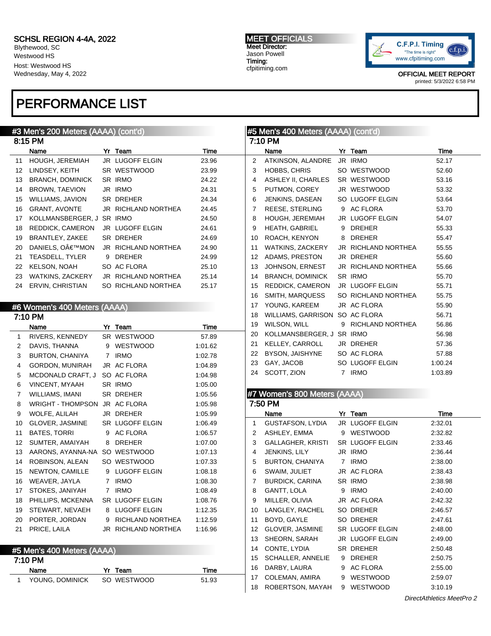Blythewood, SC Westwood HS Host: Westwood HS Wednesday, May 4, 2022

# PERFORMANCE LIST

## #3 Men's 200 Meters (AAAA) (cont'd)

|    | 8:15 PM                 |    |                     |       |
|----|-------------------------|----|---------------------|-------|
|    | Name                    | Yr | Team                | Time  |
| 11 | <b>HOUGH, JEREMIAH</b>  |    | JR LUGOFF ELGIN     | 23.96 |
| 12 | LINDSEY, KEITH          |    | SR WESTWOOD         | 23.99 |
| 13 | <b>BRANCH, DOMINICK</b> |    | SR IRMO             | 24.22 |
| 14 | <b>BROWN, TAEVION</b>   |    | JR IRMO             | 24.31 |
| 15 | WILLIAMS, JAVION        |    | SR DREHER           | 24.34 |
| 16 | <b>GRANT, AVONTE</b>    |    | JR RICHLAND NORTHEA | 24.45 |
| 17 | KOLLMANSBERGER, J       |    | SR IRMO             | 24.50 |
| 18 | REDDICK, CAMERON        |    | JR LUGOFF ELGIN     | 24.61 |
| 19 | BRANTLEY, ZAKEE         |    | <b>SR DREHER</b>    | 24.69 |
| 20 | DANIELS. O€™MON         |    | JR RICHLAND NORTHEA | 24.90 |
| 21 | <b>TEASDELL, TYLER</b>  | 9  | <b>DREHER</b>       | 24.99 |
| 22 | KELSON, NOAH            |    | SO AC FLORA         | 25.10 |
| 23 | WATKINS, ZACKERY        | JR | RICHLAND NORTHEA    | 25.14 |
| 24 | ERVIN, CHRISTIAN        |    | SO RICHLAND NORTHEA | 25.17 |

### #6 Women's 400 Meters (AAAA)

| 7:10 PM         |                                |                |                     |         |  |  |  |
|-----------------|--------------------------------|----------------|---------------------|---------|--|--|--|
|                 | Name                           |                | Yr Team             | Time    |  |  |  |
| $\mathbf{1}$    | RIVERS, KENNEDY                |                | SR WESTWOOD         | 57.89   |  |  |  |
| $\overline{2}$  | DAVIS, THANNA                  |                | 9 WESTWOOD          | 1:01.62 |  |  |  |
| 3               | BURTON, CHANIYA                |                | 7 IRMO              | 1:02.78 |  |  |  |
| 4               | GORDON, MUNIRAH                |                | JR AC FLORA         | 1:04.89 |  |  |  |
| 5               | MCDONALD CRAFT, J              |                | SO AC FLORA         | 1:04.98 |  |  |  |
| 6               | VINCENT, MYAAH                 |                | SR IRMO             | 1:05.00 |  |  |  |
| $\overline{7}$  | WILLIAMS, IMANI                |                | SR DREHER           | 1:05.56 |  |  |  |
| 8               | WRIGHT - THOMPSON JR AC FLORA  |                |                     | 1:05.98 |  |  |  |
| 9               | WOLFE, ALILAH                  |                | JR DREHER           | 1:05.99 |  |  |  |
| 10              | GLOVER, JASMINE                |                | SR LUGOFF ELGIN     | 1:06.49 |  |  |  |
| 11              | <b>BATES, TORRI</b>            |                | 9 AC FLORA          | 1:06.57 |  |  |  |
| 12 <sup>°</sup> | SUMTER, AMAIYAH                | 8              | <b>DREHER</b>       | 1:07.00 |  |  |  |
| 13              | AARONS, AYANNA-NA SO WESTWOOD  |                |                     | 1:07.13 |  |  |  |
| 14              | ROBINSON, ALEAN                |                | SO WESTWOOD         | 1:07.33 |  |  |  |
| 15              | NEWTON, CAMILLE                |                | 9 LUGOFF ELGIN      | 1:08.18 |  |  |  |
| 16              | WEAVER, JAYLA                  |                | 7 IRMO              | 1:08.30 |  |  |  |
| 17              | STOKES, JANIYAH                | $\overline{7}$ | <b>IRMO</b>         | 1:08.49 |  |  |  |
| 18              | PHILLIPS, MCKENNA              |                | SR LUGOFF ELGIN     | 1:08.76 |  |  |  |
| 19              | STEWART, NEVAEH                |                | 8 LUGOFF ELGIN      | 1:12.35 |  |  |  |
| 20              | PORTER, JORDAN                 |                | 9 RICHLAND NORTHEA  | 1:12.59 |  |  |  |
| 21              | PRICE, LAILA                   |                | JR RICHLAND NORTHEA | 1:16.96 |  |  |  |
|                 |                                |                |                     |         |  |  |  |
|                 | $U = 11.11 100 11.11 11 11 11$ |                |                     |         |  |  |  |

| #5 Men's 400 Meters (AAAA) |                 |             |       |  |  |  |
|----------------------------|-----------------|-------------|-------|--|--|--|
| 7:10 PM                    |                 |             |       |  |  |  |
|                            | Name            | Yr Team     | Time  |  |  |  |
|                            | YOUNG, DOMINICK | SO WESTWOOD | 51.93 |  |  |  |

MEET OFFICIALS Meet Director: Jason Powell Timing: cfpitiming.com



OFFICIAL MEET REPORT printed: 5/3/2022 6:58 PM

### #5 Men's 400 Meters (AAAA) (cont'd) 7:10 PM Name Yr Team Time 2 ATKINSON, ALANDRE JR IRMO 52.17 3 HOBBS, CHRIS SO WESTWOOD 52.60 4 ASHLEY II, CHARLES SR WESTWOOD 53.16 5 PUTMON, COREY JR WESTWOOD 53.32 6 JENKINS, DASEAN SO LUGOFF ELGIN 53.64 7 REESE, STERLING 9 AC FLORA 53.70 8 HOUGH, JEREMIAH JR LUGOFF ELGIN 54.07 9 HEATH, GABRIEL 9 DREHER 55.33 10 ROACH, KENYON 8 DREHER 55.47 11 WATKINS, ZACKERY JR RICHLAND NORTHEA 55.55 12 ADAMS, PRESTON JR DREHER 55.60 13 JOHNSON, ERNEST JR RICHLAND NORTHEA 55.66 14 BRANCH, DOMINICK SR IRMO 55.70 15 REDDICK, CAMERON JR LUGOFF ELGIN 55.71 16 SMITH, MARQUESS SO RICHLAND NORTHEA 55.75 17 YOUNG, KAREEM JR AC FLORA 55.90 18 WILLIAMS, GARRISON SO AC FLORA 56.71 19 WILSON, WILL 9 RICHLAND NORTHEA 56.86 20 KOLLMANSBERGER, J SR IRMO 56.98 21 KELLEY, CARROLL JR DREHER 57.36 22 BYSON, JAISHYNE SO AC FLORA 57.88 23 GAY, JACOB SO LUGOFF ELGIN 1:00.24

24 SCOTT, ZION 7 IRMO 1:03.89

### #7 Women's 800 Meters (AAAA)

|                 | 7:50 PM           |             |                 |         |  |  |  |  |  |
|-----------------|-------------------|-------------|-----------------|---------|--|--|--|--|--|
|                 | Name              |             | Yr Team         | Time    |  |  |  |  |  |
| 1               | GUSTAFSON, LYDIA  |             | JR LUGOFF ELGIN | 2:32.01 |  |  |  |  |  |
| 2               | ASHLEY, EMMA      |             | 9 WESTWOOD      | 2:32.82 |  |  |  |  |  |
| 3               | GALLAGHER, KRISTI |             | SR LUGOFF ELGIN | 2:33.46 |  |  |  |  |  |
| 4               | JENKINS, LILY     |             | JR IRMO         | 2:36.44 |  |  |  |  |  |
| 5               | BURTON, CHANIYA   | $7^{\circ}$ | <b>IRMO</b>     | 2:38.00 |  |  |  |  |  |
| 6               | SWAIM, JULIET     |             | JR AC FLORA     | 2:38.43 |  |  |  |  |  |
| $\overline{7}$  | BURDICK, CARINA   |             | SR IRMO         | 2:38.98 |  |  |  |  |  |
| 8               | GANTT, LOLA       | 9           | <b>IRMO</b>     | 2:40.00 |  |  |  |  |  |
| 9               | MILLER, OLIVIA    |             | JR AC FLORA     | 2:42.32 |  |  |  |  |  |
| 10              | LANGLEY, RACHEL   |             | SO DREHER       | 2:46.57 |  |  |  |  |  |
| 11              | BOYD, GAYLE       |             | SO DREHER       | 2:47.61 |  |  |  |  |  |
| 12 <sup>°</sup> | GLOVER, JASMINE   |             | SR LUGOFF ELGIN | 2:48.00 |  |  |  |  |  |
| 13              | SHEORN, SARAH     |             | JR LUGOFF ELGIN | 2:49.00 |  |  |  |  |  |
| 14              | CONTE, LYDIA      |             | SR DREHER       | 2:50.48 |  |  |  |  |  |
| 15              | SCHALLER, ANNELIE | 9           | <b>DREHER</b>   | 2:50.75 |  |  |  |  |  |
| 16              | DARBY, LAURA      |             | 9 AC FLORA      | 2:55.00 |  |  |  |  |  |
| 17              | COLEMAN, AMIRA    |             | 9 WESTWOOD      | 2:59.07 |  |  |  |  |  |
| 18              | ROBERTSON, MAYAH  |             | 9 WESTWOOD      | 3:10.19 |  |  |  |  |  |
|                 |                   |             |                 |         |  |  |  |  |  |

DirectAthletics MeetPro 2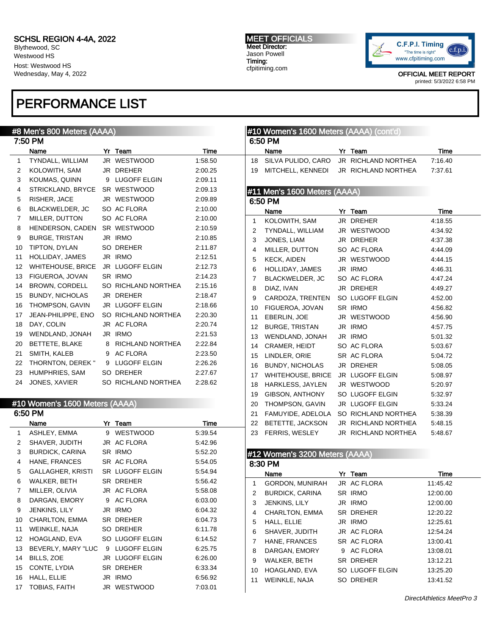Blythewood, SC Westwood HS Host: Westwood HS Wednesday, May 4, 2022

# PERFORMANCE LIST

#### MEET OFFICIALS Meet Director: Jason Powell Timing: cfpitiming.com



| #8 Men's 800 Meters (AAAA) |                                |  |                     |         | #10 Women's 1600 Meters (AAAA) (cont'd) |                                |  |                     |          |
|----------------------------|--------------------------------|--|---------------------|---------|-----------------------------------------|--------------------------------|--|---------------------|----------|
|                            | 7:50 PM                        |  |                     |         |                                         | 6:50 PM                        |  |                     |          |
|                            | Name                           |  | Yr Team             | Time    |                                         | Name                           |  | Yr Team             | Time     |
| 1                          | TYNDALL, WILLIAM               |  | JR WESTWOOD         | 1:58.50 | 18                                      | SILVA PULIDO, CARO             |  | JR RICHLAND NORTHEA | 7:16.40  |
| 2                          | KOLOWITH, SAM                  |  | JR DREHER           | 2:00.25 | 19                                      | MITCHELL, KENNEDI              |  | JR RICHLAND NORTHEA | 7:37.61  |
| 3                          | KOUMAS, QUINN                  |  | 9 LUGOFF ELGIN      | 2:09.11 |                                         |                                |  |                     |          |
| 4                          | STRICKLAND, BRYCE              |  | SR WESTWOOD         | 2:09.13 |                                         | #11 Men's 1600 Meters (AAAA)   |  |                     |          |
| 5                          | RISHER, JACE                   |  | JR WESTWOOD         | 2:09.89 |                                         | 6:50 PM                        |  |                     |          |
| 6                          | BLACKWELDER, JC                |  | SO AC FLORA         | 2:10.00 |                                         | Name                           |  | Yr Team             | Time     |
| 7                          | MILLER, DUTTON                 |  | SO AC FLORA         | 2:10.00 | 1                                       | KOLOWITH, SAM                  |  | JR DREHER           | 4:18.55  |
| 8                          | HENDERSON, CADEN               |  | SR WESTWOOD         | 2:10.59 | 2                                       | TYNDALL, WILLIAM               |  | JR WESTWOOD         | 4:34.92  |
| 9                          | <b>BURGE, TRISTAN</b>          |  | JR IRMO             | 2:10.85 | 3                                       | JONES, LIAM                    |  | JR DREHER           | 4:37.38  |
| 10                         | TIPTON, DYLAN                  |  | SO DREHER           | 2:11.87 | 4                                       | MILLER, DUTTON                 |  | SO AC FLORA         | 4:44.09  |
| 11                         | HOLLIDAY, JAMES                |  | JR IRMO             | 2:12.51 | 5                                       | <b>KECK, AIDEN</b>             |  | JR WESTWOOD         | 4:44.15  |
| 12                         | <b>WHITEHOUSE, BRICE</b>       |  | JR LUGOFF ELGIN     | 2:12.73 | 6                                       | HOLLIDAY, JAMES                |  | JR IRMO             | 4:46.31  |
| 13                         | FIGUEROA, JOVAN                |  | SR IRMO             | 2:14.23 | 7                                       | BLACKWELDER, JC                |  | SO AC FLORA         | 4:47.24  |
| 14                         | <b>BROWN, CORDELL</b>          |  | SO RICHLAND NORTHEA | 2:15.16 | 8                                       | DIAZ, IVAN                     |  | JR DREHER           | 4:49.27  |
| 15                         | <b>BUNDY, NICHOLAS</b>         |  | JR DREHER           | 2:18.47 | 9                                       | CARDOZA, TRENTEN               |  | SO LUGOFF ELGIN     | 4:52.00  |
| 16                         | THOMPSON, GAVIN                |  | JR LUGOFF ELGIN     | 2:18.66 | 10                                      | FIGUEROA, JOVAN                |  | SR IRMO             | 4:56.82  |
| 17                         | JEAN-PHILIPPE, ENO             |  | SO RICHLAND NORTHEA | 2:20.30 | 11                                      | EBERLIN, JOE                   |  | JR WESTWOOD         | 4:56.90  |
| 18                         | DAY, COLIN                     |  | JR AC FLORA         | 2:20.74 | 12                                      | <b>BURGE, TRISTAN</b>          |  | JR IRMO             | 4:57.75  |
| 19                         | WENDLAND, JONAH                |  | JR IRMO             | 2:21.53 | 13                                      | WENDLAND, JONAH                |  | JR IRMO             | 5:01.32  |
| 20                         | BETTETE, BLAKE                 |  | 8 RICHLAND NORTHEA  | 2:22.84 | 14                                      | CRAMER, HEIDT                  |  | SO AC FLORA         | 5:03.67  |
| 21                         | SMITH, KALEB                   |  | 9 AC FLORA          | 2:23.50 | 15                                      | LINDLER, ORIE                  |  | SR AC FLORA         | 5:04.72  |
| 22                         | THORNTON, DEREK "              |  | 9 LUGOFF ELGIN      | 2:26.26 | 16                                      | <b>BUNDY, NICHOLAS</b>         |  | JR DREHER           | 5:08.05  |
| 23                         | HUMPHRIES, SAM                 |  | SO DREHER           | 2:27.67 | 17                                      | <b>WHITEHOUSE, BRICE</b>       |  | JR LUGOFF ELGIN     | 5:08.97  |
| 24                         | JONES, XAVIER                  |  | SO RICHLAND NORTHEA | 2:28.62 | 18                                      | <b>HARKLESS, JAYLEN</b>        |  | JR WESTWOOD         | 5:20.97  |
|                            |                                |  |                     |         | 19                                      | GIBSON, ANTHONY                |  | SO LUGOFF ELGIN     | 5:32.97  |
|                            | #10 Women's 1600 Meters (AAAA) |  |                     |         | 20                                      | THOMPSON, GAVIN                |  | JR LUGOFF ELGIN     | 5:33.24  |
|                            | 6:50 PM                        |  |                     |         | 21                                      | FAMUYIDE, ADELOLA              |  | SO RICHLAND NORTHEA | 5:38.39  |
|                            | Name                           |  | Yr Team             | Time    | 22                                      | BETETTE, JACKSON               |  | JR RICHLAND NORTHEA | 5:48.15  |
| $\mathbf{1}$               | ASHLEY, EMMA                   |  | 9 WESTWOOD          | 5:39.54 | 23                                      | FERRIS, WESLEY                 |  | JR RICHLAND NORTHEA | 5:48.67  |
| 2                          | SHAVER, JUDITH                 |  | JR AC FLORA         | 5:42.96 |                                         |                                |  |                     |          |
| 3                          | <b>BURDICK, CARINA</b>         |  | SR IRMO             | 5:52.20 |                                         | #12 Women's 3200 Meters (AAAA) |  |                     |          |
| 4                          | HANE, FRANCES                  |  | SR AC FLORA         | 5:54.05 |                                         | 8:30 PM                        |  |                     |          |
| 5                          | <b>GALLAGHER, KRISTI</b>       |  | SR LUGOFF ELGIN     | 5:54.94 |                                         | Name                           |  | Yr Team             | Time     |
| 6                          | WALKER, BETH                   |  | SR DREHER           | 5:56.42 | $\mathbf{1}$                            | <b>GORDON, MUNIRAH</b>         |  | JR AC FLORA         | 11:45.42 |
| 7                          | MILLER, OLIVIA                 |  | JR AC FLORA         | 5:58.08 | 2                                       | <b>BURDICK, CARINA</b>         |  | SR IRMO             | 12:00.00 |
| 8                          | DARGAN, EMORY                  |  | 9 AC FLORA          | 6:03.00 | 3                                       | JENKINS, LILY                  |  | JR IRMO             | 12:00.00 |
| 9                          | JENKINS, LILY                  |  | JR IRMO             | 6:04.32 | 4                                       | CHARLTON, EMMA                 |  | SR DREHER           | 12:20.22 |
| 10                         | CHARLTON, EMMA                 |  | SR DREHER           | 6:04.73 | 5                                       | HALL, ELLIE                    |  | JR IRMO             | 12:25.61 |
| 11                         | WEINKLE, NAJA                  |  | SO DREHER           | 6:11.78 | 6                                       | SHAVER, JUDITH                 |  | JR AC FLORA         | 12:54.24 |
| 12                         | HOAGLAND, EVA                  |  | SO LUGOFF ELGIN     | 6:14.52 | 7                                       | HANE, FRANCES                  |  | SR AC FLORA         | 13:00.41 |
| 13                         | BEVERLY, MARY "LUC             |  | 9 LUGOFF ELGIN      | 6:25.75 | 8                                       | DARGAN, EMORY                  |  | 9 AC FLORA          | 13:08.01 |
| 14                         | BILLS, ZOE                     |  | JR LUGOFF ELGIN     | 6:26.00 | 9                                       | WALKER, BETH                   |  | SR DREHER           | 13:12.21 |
| 15                         | CONTE, LYDIA                   |  | SR DREHER           | 6.33.34 | 10                                      | HOAGLAND, EVA                  |  | SO LUGOFF ELGIN     | 13:25.20 |
| 16                         | HALL, ELLIE                    |  | JR IRMO             | 6:56.92 | 11                                      | WEINKLE, NAJA                  |  | SO DREHER           | 13:41.52 |
| 17                         | <b>TOBIAS, FAITH</b>           |  | JR WESTWOOD         | 7:03.01 |                                         |                                |  |                     |          |
|                            |                                |  |                     |         |                                         |                                |  |                     |          |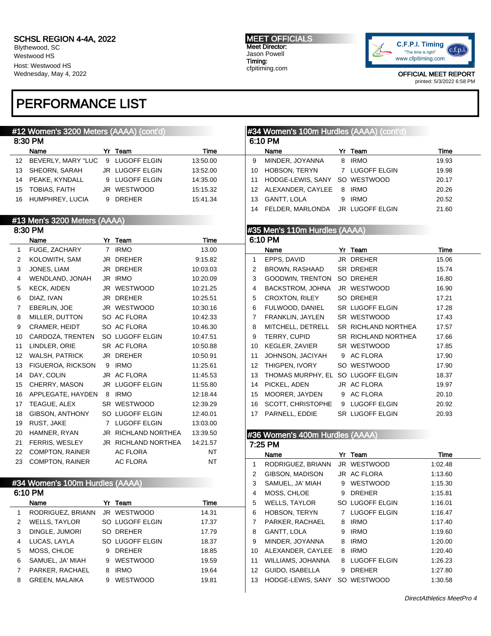Blythewood, SC Westwood HS Host: Westwood HS Wednesday, May 4, 2022

# PERFORMANCE LIST

#### #12 Women's 3200 Meters (AAAA) (cont'd) 8:30 PM Name **Yr Team Yr Team** Time 12 BEVERLY, MARY "LUC 9 LUGOFF ELGIN 13:50.00 13 SHEORN, SARAH JR LUGOFF ELGIN 13:52.00 14 PEAKE, KYNDALL 9 LUGOFF ELGIN 14:35.00 15 TOBIAS, FAITH JR WESTWOOD 15:15.32 16 HUMPHREY, LUCIA 9 DREHER 15:41.34 #13 Men's 3200 Meters (AAAA) 8:30 PM Name **Yr Team Yr Team** Time 1 FUGE, ZACHARY 7 IRMO 13.00 2 KOLOWITH, SAM JR DREHER 9:15.82 3 JONES, LIAM JR DREHER 10:03.03 4 WENDLAND, JONAH JR IRMO 10:20.09 5 KECK, AIDEN JR WESTWOOD 10:21.25 6 DIAZ, IVAN JR DREHER 10:25.51 7 EBERLIN, JOE JR WESTWOOD 10:30.16 8 MILLER, DUTTON SO AC FLORA 10:42.33 9 CRAMER, HEIDT SO AC FLORA 10:46.30 10 CARDOZA, TRENTEN SO LUGOFF ELGIN 10:47.51 11 LINDLER, ORIE SR AC FLORA 10:50.88 12 WALSH, PATRICK JR DREHER 10:50.91 13 FIGUEROA, RICKSON 9 IRMO 11:25.61 14 DAY, COLIN JR AC FLORA 11:45.53 15 CHERRY, MASON JR LUGOFF ELGIN 11:55.80 16 APPLEGATE, HAYDEN 8 IRMO 12:18.44 17 TEAGUE, ALEX SR WESTWOOD 12:39.29 18 GIBSON, ANTHONY SO LUGOFF ELGIN 12:40.01 19 RUST, JAKE 7 LUGOFF ELGIN 13:03.00 20 HAMNER, RYAN JR RICHLAND NORTHEA 13:39.50 21 FERRIS, WESLEY JR RICHLAND NORTHEA 14:21.57 22 COMPTON, RAINER AC FLORA NT 23 COMPTON, RAINER AC FLORA NT #34 Women's 100m Hurdles (AAAA) 6:10 PM #34 Women's 100m Hurdles (AAAA) (cont'd) 6:10 PM Name **Yr Team Yr Team** Time 9 MINDER, JOYANNA 8 IRMO 19.93 10 HOBSON, TERYN 7 LUGOFF ELGIN 19.98 11 HODGE-LEWIS, SANY SO WESTWOOD 20.17 12 ALEXANDER, CAYLEE 8 IRMO 20.26 13 GANTT, LOLA 9 IRMO 20.52 14 FELDER, MARLONDA JR LUGOFF ELGIN 21.60 #35 Men's 110m Hurdles (AAAA) 6:10 PM Name **Yr** Team Time 1 EPPS, DAVID JR DREHER 15.06 2 BROWN, RASHAAD SR DREHER 15.74 3 GOODWIN, TRENTON SO DREHER 16.80 4 BACKSTROM, JOHNA JR WESTWOOD 16.90 5 CROXTON, RILEY SO DREHER 17.21 6 FULWOOD, DANIEL SR LUGOFF ELGIN 17.28 7 FRANKLIN, JAYLEN SR WESTWOOD 17.43 8 MITCHELL, DETRELL SR RICHLAND NORTHEA 17.57 9 TERRY, CUPID SR RICHLAND NORTHEA 17.66 10 KEGLER, ZAVIER SR WESTWOOD 17.85 11 JOHNSON, JACIYAH 9 AC FLORA 17.90 12 THIGPEN, IVORY SO WESTWOOD 17.90 13 THOMAS MURPHY, EL SO LUGOFF ELGIN 18.37 14 PICKEL, ADEN JR AC FLORA 19.97 15 MOORER, JAYDEN 9 AC FLORA 20.10 16 SCOTT, CHRISTOPHE 9 LUGOFF ELGIN 20.92 17 PARNELL, EDDIE SR LUGOFF ELGIN 20.93 #36 Women's 400m Hurdles (AAAA) 7:25 PM Name **Yr** Team **Time** 1 RODRIGUEZ, BRIANN JR WESTWOOD 1:02.48 2 GIBSON, MADISON JR AC FLORA 1:13.60 3 SAMUEL, JA' MIAH 9 WESTWOOD 1:15.30 4 MOSS, CHLOE 9 DREHER 1:15.81

|   | Name                  | Yr | Team            | Time  |  |  |  |
|---|-----------------------|----|-----------------|-------|--|--|--|
| 1 | RODRIGUEZ, BRIANN     |    | JR WESTWOOD     | 14.31 |  |  |  |
| 2 | <b>WELLS, TAYLOR</b>  |    | SO LUGOFF ELGIN | 17.37 |  |  |  |
| 3 | DINGLE, JUMORI        |    | SO DREHER       | 17.79 |  |  |  |
| 4 | LUCAS, LAYLA          |    | SO LUGOFF ELGIN | 18.37 |  |  |  |
| 5 | MOSS, CHLOE           | 9  | <b>DREHER</b>   | 18.85 |  |  |  |
| 6 | SAMUEL, JA' MIAH      | 9  | WESTWOOD        | 19.59 |  |  |  |
|   | PARKER, RACHAEL       | 8  | <b>IRMO</b>     | 19.64 |  |  |  |
| 8 | <b>GREEN, MALAIKA</b> | 9  | <b>WESTWOOD</b> | 19.81 |  |  |  |

DirectAthletics MeetPro 4

5 WELLS, TAYLOR SO LUGOFF ELGIN 1:16.01 6 HOBSON, TERYN 7 LUGOFF ELGIN 1:16.47 7 PARKER, RACHAEL 8 IRMO 1:17.40 8 GANTT, LOLA 9 IRMO 1:19.60 9 MINDER, JOYANNA 8 IRMO 1:20.00 10 ALEXANDER, CAYLEE 8 IRMO 1:20.40 11 WILLIAMS, JOHANNA 8 LUGOFF ELGIN 1:26.23 12 GUIDO, ISABELLA 9 DREHER 1:27.80 13 HODGE-LEWIS, SANY SO WESTWOOD 1:30.58

#### MEET OFFICIALS Meet Director: Jason Powell Timing: cfpitiming.com

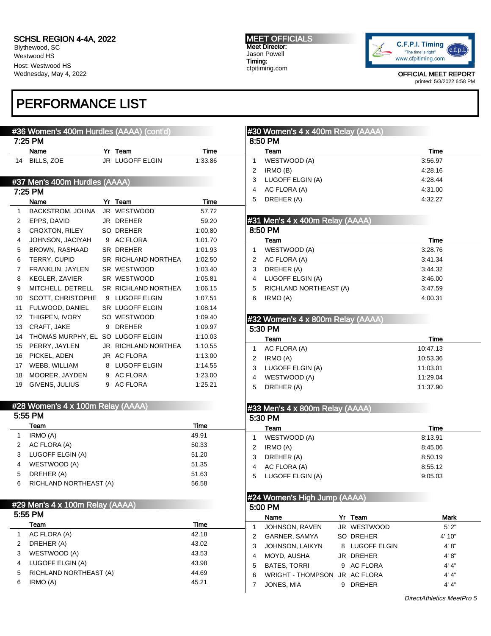Blythewood, SC Westwood HS Host: Westwood HS Wednesday, May 4, 2022

7:25 PM

7:25 PM

# PERFORMANCE LIST

#### #36 Women's 400m Hurdles (AAAA) (cont'd) Name Yr Team Time 14 BILLS, ZOE JR LUGOFF ELGIN 1:33.86 #37 Men's 400m Hurdles (AAAA) Name **Yr** Team Time 1 BACKSTROM, JOHNA JR WESTWOOD 57.72 2 EPPS, DAVID JR DREHER 59.20 3 CROXTON, RILEY SO DREHER 1:00.80 #30 Women's 4 x 400m Relay (AAAA) 8:50 PM Team Time 1 WESTWOOD (A) 3:56.97 2 IRMO (B) 4:28.16 3 LUGOFF ELGIN (A) 4:28.44 4 AC FLORA (A) 4:31.00 5 DREHER (A) 4:32.27 #31 Men's 4 x 400m Relay (AAAA) 8:50 PM Team Time 1 WESTWOOD (A) 3:28.76 2 AC FLORA (A) 3:41.34 3 DREHER (A) 3:44.32 cfpitiming.com printed: 5/3/2022 6:58 PM

MEET OFFICIALS Meet Director: Jason Powell Timing:

4 LUGOFF ELGIN (A) 3:46.00 5 RICHLAND NORTHEAST (A) 3:47.59 6 IRMO (A) 4:00.31

Team Time

#32 Women's 4 x 800m Relay (AAAA)

| 4              | JOHNSON, JACIYAH                  | 9 AC FLORA                 | 1:01.70 |
|----------------|-----------------------------------|----------------------------|---------|
| 5              | <b>BROWN, RASHAAD</b>             | SR DREHER                  | 1:01.93 |
| 6              | TERRY, CUPID                      | SR RICHLAND NORTHEA        | 1:02.50 |
| $\overline{7}$ | FRANKLIN, JAYLEN                  | SR WESTWOOD                | 1:03.40 |
| 8              | KEGLER, ZAVIER                    | SR WESTWOOD                | 1:05.81 |
| 9              | MITCHELL, DETRELL                 | <b>SR RICHLAND NORTHEA</b> | 1:06.15 |
| 10             | SCOTT, CHRISTOPHE                 | 9 LUGOFF ELGIN             | 1:07.51 |
| 11             | FULWOOD, DANIEL                   | <b>SR LUGOFF ELGIN</b>     | 1:08.14 |
| 12             | THIGPEN, IVORY                    | SO WESTWOOD                | 1:09.40 |
| 13             | CRAFT. JAKE                       | 9 DREHER                   | 1:09.97 |
| 14             | THOMAS MURPHY, EL SO LUGOFF ELGIN |                            | 1:10.03 |
| 15             | PERRY, JAYLEN                     | JR RICHLAND NORTHEA        | 1:10.55 |
| 16             | PICKEL, ADEN                      | JR AC FLORA                | 1:13.00 |
| 17             | WEBB, WILLIAM                     | 8 LUGOFF ELGIN             | 1:14.55 |
| 18             | MOORER, JAYDEN                    | 9 AC FLORA                 | 1:23.00 |

| $\overline{A}$ | 1011011                           |                     | $\Lambda$ $\Lambda$ $\Lambda$ |                                           |          |
|----------------|-----------------------------------|---------------------|-------------------------------|-------------------------------------------|----------|
|                | Team                              |                     | Time                          | Team                                      | Time     |
|                | 5:55 PM                           |                     |                               | 5:30 PM                                   |          |
|                |                                   |                     |                               | $#33$ Men's $4 \times 800$ m Relay (AAAA) |          |
|                | #28 Women's 4 x 100m Relay (AAAA) |                     |                               |                                           |          |
|                |                                   |                     |                               |                                           |          |
| 19             | GIVENS, JULIUS                    | 9 AC FLORA          | 1:25.21                       | DREHER (A)<br>5                           | 11:37.90 |
| 18             | MOORER, JAYDEN                    | 9 AC FLORA          | 1:23.00                       | WESTWOOD (A)<br>4                         | 11:29.04 |
|                |                                   |                     |                               | LUGOFF ELGIN (A)                          | 11:03.01 |
| 17             | WEBB, WILLIAM                     | 8 LUGOFF ELGIN      | 1:14.55                       |                                           |          |
| 16             | PICKEL, ADEN                      | JR AC FLORA         | 1:13.00                       | IRMO (A)                                  | 10:53.36 |
|                | 15 PERRY, JAYLEN                  | JR RICHLAND NORTHEA | 1.10.55                       | AC FLORA (A)                              | 10:47.13 |

5:30 PM

| IRMO (A)<br>AC FLORA (A)<br>2<br>LUGOFF ELGIN (A)<br>3<br>WESTWOOD (A)<br>4<br>DREHER (A)<br>5<br>RICHLAND NORTHEAST (A)<br>6 | 49.91<br>50.33<br>51.20<br>51.35<br>51.63<br>56.58 | WESTWOOD (A)<br>IRMO (A)<br>2<br>3<br>DREHER (A)<br>AC FLORA (A)<br>4<br>LUGOFF ELGIN (A)<br>5 | 8:13.91<br>8:45.06<br>8:50.19<br>8:55.12<br>9:05.03 |
|-------------------------------------------------------------------------------------------------------------------------------|----------------------------------------------------|------------------------------------------------------------------------------------------------|-----------------------------------------------------|
| #29 Men's 4 x 100m Relay (AAAA)<br>5:55 PM<br>Team                                                                            | Time                                               | #24 Women's High Jump (AAAA)<br>5:00 PM<br>Yr Team<br>Name                                     | <b>Mark</b>                                         |
| AC FLORA (A)                                                                                                                  | 42.18                                              | JOHNSON, RAVEN<br>JR WESTWOOD                                                                  | 5'2"                                                |
| DREHER (A)<br>2                                                                                                               | 43.02                                              | GARNER, SAMYA<br>SO DREHER<br>2                                                                | 4' 10"                                              |
| WESTWOOD (A)<br>3                                                                                                             | 43.53                                              | JOHNSON, LAIKYN<br>8 LUGOFF ELGIN<br>3<br>JR DREHER<br>MOYD, AUSHA                             | 4' 8''<br>4' 8''                                    |
| LUGOFF ELGIN (A)<br>4                                                                                                         | 43.98                                              | 4<br><b>BATES, TORRI</b><br>9 AC FLORA<br>5                                                    | 4' 4''                                              |
| RICHLAND NORTHEAST (A)<br>5                                                                                                   | 44.69                                              | 6<br><b>WRIGHT - THOMPSON</b><br>JR AC FLORA                                                   | 4' 4''                                              |
| IRMO (A)<br>6.                                                                                                                | 45.21                                              | JONES, MIA<br>9 DREHER                                                                         | 4' 4''                                              |
|                                                                                                                               |                                                    |                                                                                                |                                                     |



OFFICIAL MEET REPORT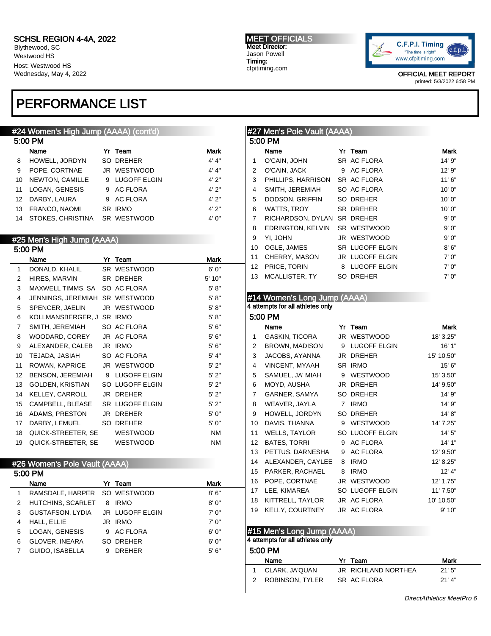Blythewood, SC Westwood HS Host: Westwood HS Wednesday, May 4, 2022

# PERFORMANCE LIST

### #24 Women's High Jump (AAAA) (cont'd)

|    | 5:00 PM           |                |             |
|----|-------------------|----------------|-------------|
|    | Name              | Yr Team        | <b>Mark</b> |
| 8  | HOWELL, JORDYN    | SO DREHER      | 4' 4''      |
| 9  | POPE, CORTNAE     | JR WESTWOOD    | 4' 4''      |
| 10 | NEWTON, CAMILLE   | 9 LUGOFF ELGIN | 4'2"        |
| 11 | LOGAN, GENESIS    | 9 AC FLORA     | 4'2"        |
|    | 12 DARBY, LAURA   | 9 AC FLORA     | 4'2"        |
| 13 | FRANCO, NAOMI     | SR IRMO        | 4'2"        |
| 14 | STOKES, CHRISTINA | SR WESTWOOD    | 4'0''       |

#### #25 Men's High Jump (AAAA)  $5.00 \text{ m}$

|                 | 3.UU PM                          |    |                 |             |
|-----------------|----------------------------------|----|-----------------|-------------|
|                 | Name                             | Yr | Team            | <b>Mark</b> |
| 1               | DONALD, KHALIL                   |    | SR WESTWOOD     | 6'0''       |
| 2               | HIRES, MARVIN                    |    | SR DREHER       | 5' 10"      |
| 3               | MAXWELL TIMMS, SA                |    | SO AC FLORA     | 5' 8''      |
| 4               | JENNINGS, JEREMIAH               |    | SR WESTWOOD     | 5' 8''      |
| 5               | SPENCER, JAELIN                  |    | JR WESTWOOD     | 5' 8''      |
| 6               | KOLLMANSBERGER, J                |    | SR IRMO         | 5' 8''      |
| $\overline{7}$  | SMITH, JEREMIAH                  |    | SO AC FLORA     | 5'6''       |
| 8               | WOODARD, COREY                   |    | JR AC FLORA     | 5'6''       |
| 9               | ALEXANDER, CALEB                 |    | JR IRMO         | 5'6''       |
| 10              | TEJADA, JASIAH                   |    | SO AC FLORA     | 5' 4"       |
| 11              | ROWAN, KAPRICE                   |    | JR WESTWOOD     | 5'2"        |
| 12 <sup>°</sup> | BENSON, JEREMIAH                 |    | 9 LUGOFF ELGIN  | 5'2"        |
| 13              | GOLDEN, KRISTIAN                 |    | SO LUGOFF ELGIN | 5'2"        |
| 14              | KELLEY, CARROLL                  |    | JR DREHER       | 5'2"        |
| 15              | CAMPBELL, BLEASE SR LUGOFF ELGIN |    |                 | 5'2"        |
| 16              | ADAMS, PRESTON                   |    | JR DREHER       | 5'0''       |
| 17              | DARBY, LEMUEL                    |    | SO DREHER       | 5'0''       |
| 18              | QUICK-STREETER, SE               |    | <b>WESTWOOD</b> | <b>NM</b>   |
| 19              | QUICK-STREETER, SE               |    | WESTWOOD        | <b>NM</b>   |

### #26 Women's Pole Vault (AAAA)

|   | 5:00 PM |                              |   |                        |       |  |  |
|---|---------|------------------------------|---|------------------------|-------|--|--|
|   |         | Name                         |   | Yr Team                | Mark  |  |  |
| 1 |         | RAMSDALE, HARPER SO WESTWOOD |   |                        | 8'6'' |  |  |
| 2 |         | HUTCHINS, SCARLET            | 8 | <b>IRMO</b>            | 8'0'' |  |  |
| 3 |         | GUSTAFSON, LYDIA             |   | <b>JR LUGOFF ELGIN</b> | 7'0'' |  |  |
|   |         | HALL, ELLIE                  |   | JR IRMO                | 7'0'' |  |  |
| 5 |         | LOGAN, GENESIS               |   | 9 AC FLORA             | 6'0'' |  |  |
| 6 |         | <b>GLOVER, INEARA</b>        |   | SO DREHER              | 6'0'' |  |  |
|   |         | <b>GUIDO, ISABELLA</b>       | 9 | <b>DREHER</b>          | 5'6'' |  |  |
|   |         |                              |   |                        |       |  |  |

#### MEET OFFICIALS Meet Director: Jason Powell Timing: cfpitiming.com



OFFICIAL MEET REPORT printed: 5/3/2022 6:58 PM

### #27 Men's Pole Vault (AAAA) 5:00 PM Name Yr Team Mark 1 O'CAIN, JOHN SR AC FLORA 14' 9" 2 O'CAIN, JACK 9 AC FLORA 12' 9" 3 PHILLIPS, HARRISON SR AC FLORA 11' 6" 4 SMITH, JEREMIAH SO AC FLORA 10' 0" 5 DODSON, GRIFFIN SO DREHER 10' 0" 6 WATTS, TROY SR DREHER 10' 0" 7 RICHARDSON, DYLAN SR DREHER 9' 0" 8 EDRINGTON, KELVIN SR WESTWOOD 9' 0" 9 YI, JOHN JR WESTWOOD 9' 0" 10 OGLE, JAMES SR LUGOFF ELGIN 8'6" 11 CHERRY, MASON JR LUGOFF ELGIN 7' 0" 12 PRICE, TORIN 8 LUGOFF ELGIN 7' 0" 13 MCALLISTER, TY SO DREHER 7' 0" #14 Women's Long Jump (AAAA) 4 attempts for all athletes only 5:00 PM Name Yr Team Mark 1 GASKIN, TICORA JR WESTWOOD 18' 3.25" 2 BROWN, MADISON 9 LUGOFF ELGIN 16' 1" 3 JACOBS, AYANNA JR DREHER 15' 10.50" 4 VINCENT, MYAAH SR IRMO 15' 6" 5 SAMUEL, JA' MIAH 9 WESTWOOD 15' 3.50" 6 MOYD, AUSHA JR DREHER 14' 9.50" 7 GARNER, SAMYA SO DREHER 14' 9" 8 WEAVER, JAYLA 7 IRMO 14' 9" 9 HOWELL, JORDYN SO DREHER 14' 8" 10 DAVIS, THANNA 9 WESTWOOD 14' 7.25" 11 WELLS, TAYLOR SO LUGOFF ELGIN 14' 5" 12 BATES, TORRI 9 AC FLORA 14' 1" 13 PETTUS, DARNESHA 9 AC FLORA 12' 9.50" 14 ALEXANDER, CAYLEE 8 IRMO 12' 8.25" 15 PARKER, RACHAEL 8 IRMO 12' 4" 16 POPE, CORTNAE JR WESTWOOD 12' 1.75" 17 LEE, KIMAREA SO LUGOFF ELGIN 11' 7.50"

#### #15 Men's Long Jump (AAAA) 4 attempts for all athletes only

## 5:00 PM

| -------           |  |                     |          |  |  |  |  |  |
|-------------------|--|---------------------|----------|--|--|--|--|--|
| Name              |  | Yr Team             | Mark     |  |  |  |  |  |
| 1 CLARK, JA'QUAN  |  | JR RICHLAND NORTHEA | 21'5"    |  |  |  |  |  |
| 2 ROBINSON. TYLER |  | SR AC FLORA         | $21'$ 4" |  |  |  |  |  |

18 KITTRELL, TAYLOR JR AC FLORA 10' 10.50" 19 KELLY, COURTNEY JR AC FLORA 9' 10"

DirectAthletics MeetPro 6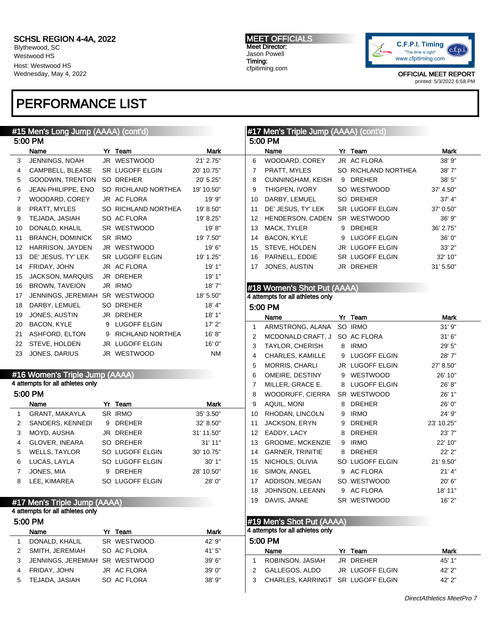Blythewood, SC Westwood HS Host: Westwood HS Wednesday, May 4, 2022

# PERFORMANCE LIST

#### MEET OFFICIALS Meet Director: Jason Powell Timing:

cfpitiming.com



|              | #15 Men's Long Jump (AAAA) (cont'd) |   |                     |             |                | #17 Men's Triple Jump (AAAA) (cont'd) |   |                     |            |
|--------------|-------------------------------------|---|---------------------|-------------|----------------|---------------------------------------|---|---------------------|------------|
|              | 5:00 PM                             |   |                     |             |                | 5:00 PM                               |   |                     |            |
|              | Name                                |   | Yr Team             | <b>Mark</b> |                | Name                                  |   | Yr Team             | Mark       |
| 3            | JENNINGS, NOAH                      |   | JR WESTWOOD         | 21' 2.75"   | 6              | WOODARD, COREY                        |   | JR AC FLORA         | 38' 9"     |
| 4            | CAMPBELL, BLEASE                    |   | SR LUGOFF ELGIN     | 20' 10.75"  | 7              | PRATT, MYLES                          |   | SO RICHLAND NORTHEA | 38'7"      |
| 5            | GOODWIN, TRENTON                    |   | SO DREHER           | 20' 5.25"   | 8              | <b>CUNNINGHAM, KEISH</b>              |   | 9 DREHER            | 38' 5"     |
| 6            | JEAN-PHILIPPE, ENO                  |   | SO RICHLAND NORTHEA | 19' 10.50"  | 9              | THIGPEN, IVORY                        |   | SO WESTWOOD         | 37' 4.50"  |
| 7            | WOODARD, COREY                      |   | JR AC FLORA         | 19' 9"      | 10             | DARBY, LEMUEL                         |   | SO DREHER           | 37' 4"     |
| 8            | PRATT, MYLES                        |   | SO RICHLAND NORTHEA | 19' 8.50"   | 11             | DE' JESUS, TY' LEK                    |   | SR LUGOFF ELGIN     | 37' 0.50"  |
| 9            | TEJADA, JASIAH                      |   | SO AC FLORA         | 19' 8.25"   | 12             | HENDERSON, CADEN                      |   | SR WESTWOOD         | 36' 9"     |
| 10           | DONALD, KHALIL                      |   | SR WESTWOOD         | 19'8"       | 13             | MACK, TYLER                           | 9 | DREHER              | 36' 2.75"  |
| 11           | <b>BRANCH, DOMINICK</b>             |   | SR IRMO             | 19' 7.50"   | 14             | <b>BACON, KYLE</b>                    | 9 | <b>LUGOFF ELGIN</b> | 36' 0"     |
| 12           | HARRISON, JAYDEN                    |   | JR WESTWOOD         | 19' 6"      | 15             | STEVE, HOLDEN                         |   | JR LUGOFF ELGIN     | 33' 2"     |
| 13           | DE' JESUS, TY' LEK                  |   | SR LUGOFF ELGIN     | 19' 1.25"   | 16             | PARNELL, EDDIE                        |   | SR LUGOFF ELGIN     | 32' 10"    |
| 14           | FRIDAY, JOHN                        |   | JR AC FLORA         | 19' 1"      | 17             | JONES, AUSTIN                         |   | JR DREHER           | 31' 5.50"  |
| 15           | <b>JACKSON, MARQUIS</b>             |   | JR DREHER           | 19' 1"      |                |                                       |   |                     |            |
| 16           | <b>BROWN, TAVEION</b>               |   | JR IRMO             | 18'7"       |                | #18 Women's Shot Put (AAAA)           |   |                     |            |
| 17           | JENNINGS, JEREMIAH SR WESTWOOD      |   |                     | 18' 5.50"   |                | 4 attempts for all athletes only      |   |                     |            |
| 18           | DARBY, LEMUEL                       |   | SO DREHER           | 18' 4"      |                | 5:00 PM                               |   |                     |            |
| 19           | JONES, AUSTIN                       |   | JR DREHER           | 18'1"       |                | Name                                  |   | Yr Team             | Mark       |
| 20           | <b>BACON, KYLE</b>                  |   | 9 LUGOFF ELGIN      | 17'2"       | $\mathbf 1$    | ARMSTRONG, ALANA SO IRMO              |   |                     | 31'9''     |
| 21           | ASHFORD, ELTON                      |   | 9 RICHLAND NORTHEA  | 16' 8''     | $\overline{2}$ | MCDONALD CRAFT, J SO AC FLORA         |   |                     | 31'6''     |
| 22           | STEVE, HOLDEN                       |   | JR LUGOFF ELGIN     | 16' 0"      | 3              | TAYLOR, CHERISH                       |   | 8 IRMO              | 29' 5"     |
| 23           | JONES, DARIUS                       |   | JR WESTWOOD         | <b>NM</b>   |                |                                       |   | <b>LUGOFF ELGIN</b> |            |
|              |                                     |   |                     |             | 4              | <b>CHARLES, KAMILLE</b>               | 9 |                     | 28'7"      |
|              | #16 Women's Triple Jump (AAAA)      |   |                     |             | 5              | <b>MORRIS, CHARLI</b>                 |   | JR LUGOFF ELGIN     | 27' 8.50"  |
|              | 4 attempts for all athletes only    |   |                     |             | 6              | OMEIRE, DESTINY                       | 9 | WESTWOOD            | 26' 10"    |
|              | 5:00 PM                             |   |                     |             | 7              | MILLER, GRACE E.                      | 8 | <b>LUGOFF ELGIN</b> | 26' 8"     |
|              |                                     |   |                     |             | 8              | WOODRUFF, CIERRA                      |   | SR WESTWOOD         | 26' 1"     |
|              | Name                                |   | Yr Team             | <b>Mark</b> | 9              | AQUIL, MONI                           | 8 | <b>DREHER</b>       | 26' 0"     |
| $\mathbf{1}$ | GRANT, MAKAYLA                      |   | SR IRMO             | 35' 3.50"   | 10             | RHODAN, LINCOLN                       | 9 | <b>IRMO</b>         | 24' 9"     |
| 2            | SANDERS, KENNEDI                    |   | 9 DREHER            | 32' 8.50"   | 11             | JACKSON, ERYN                         | 9 | <b>DREHER</b>       | 23' 10.25" |
| 3            | MOYD, AUSHA                         |   | JR DREHER           | 31' 11.50"  | 12             | EADDY, LACY                           | 8 | <b>DREHER</b>       | 23'7"      |
| 4            | <b>GLOVER, INEARA</b>               |   | SO DREHER           | 31' 11"     | 13             | <b>GROOME, MCKENZIE</b>               | 9 | <b>IRMO</b>         | 22' 10"    |
| 5            | WELLS, TAYLOR                       |   | SO LUGOFF ELGIN     | 30' 10.75"  | 14             | <b>GARNER, TRINITIE</b>               | 8 | DREHER              | 22' 2"     |
| 6            | LUCAS, LAYLA                        |   | SO LUGOFF ELGIN     | 30'1"       | 15             | NICHOLS, OLIVIA                       |   | SO LUGOFF ELGIN     | 21' 9.50"  |
| 7            | JONES, MIA                          | 9 | <b>DREHER</b>       | 28' 10.50"  | 16             | SIMON, ANGEL                          | 9 | <b>AC FLORA</b>     | $21'$ 4"   |
| 8            | LEE, KIMAREA                        |   | SO LUGOFF ELGIN     | 28'0"       | 17             | ADDISON, MEGAN                        |   | SO WESTWOOD         | 20' 6"     |
|              |                                     |   |                     |             | 18             | JOHNSON, LEEANN                       |   | 9 AC FLORA          | 18' 11"    |
|              | #17 Men's Triple Jump (AAAA)        |   |                     |             | 19             | DAVIS, JANAE                          |   | SR WESTWOOD         | 16'2"      |
|              | 4 attempts for all athletes only    |   |                     |             |                |                                       |   |                     |            |
|              | 5:00 PM                             |   |                     |             |                | #19 Men's Shot Put (AAAA)             |   |                     |            |
|              | Name                                |   | Yr Team             | <b>Mark</b> |                | 4 attempts for all athletes only      |   |                     |            |
| 1            | DONALD, KHALIL                      |   | SR WESTWOOD         | 42' 9"      |                | 5:00 PM                               |   |                     |            |
| 2            | SMITH, JEREMIAH                     |   | SO AC FLORA         | 41'5"       |                | Name                                  |   | Yr Team             | Mark       |
| 3            | JENNINGS, JEREMIAH SR WESTWOOD      |   |                     | 39'6''      | 1              | ROBINSON, JASIAH                      |   | JR DREHER           | 45' 1"     |
| 4            | FRIDAY, JOHN                        |   | JR AC FLORA         | 39'0''      | $\overline{2}$ | GALLEGOS, ALDO                        |   | JR LUGOFF ELGIN     | 42' 2"     |
| 5            | TEJADA, JASIAH                      |   | SO AC FLORA         | 38' 9"      | 3              | CHARLES, KARRINGT SR LUGOFF ELGIN     |   |                     | 42' 2"     |
|              |                                     |   |                     |             |                |                                       |   |                     |            |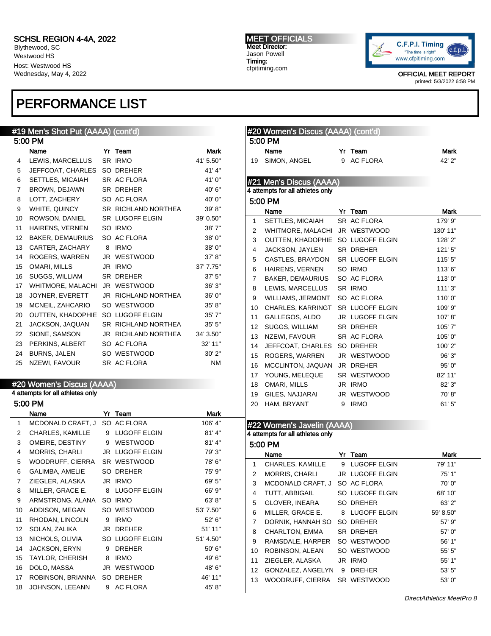Blythewood, SC Westwood HS Host: Westwood HS Wednesday, May 4, 2022

# PERFORMANCE LIST

#### MEET OFFICIALS Meet Director: Jason Powell Timing: cfpitiming.com



OFFICIAL MEET REPORT

printed: 5/3/2022 6:58 PM

| #19 Men's Shot Put (AAAA) (cont'd) |                                   |  |                     |             |    | #20 Women's Discus (AAAA) (cont'd) |                 |             |
|------------------------------------|-----------------------------------|--|---------------------|-------------|----|------------------------------------|-----------------|-------------|
|                                    | 5:00 PM                           |  |                     |             |    | 5:00 PM                            |                 |             |
|                                    | Name                              |  | Yr Team             | <b>Mark</b> |    | Name                               | Yr Team         | Mark        |
| 4                                  | LEWIS, MARCELLUS                  |  | SR IRMO             | 41' 5.50"   | 19 | SIMON, ANGEL                       | 9 AC FLORA      | 42' 2"      |
| 5                                  | JEFFCOAT, CHARLES SO DREHER       |  |                     | 41'4"       |    |                                    |                 |             |
| 6                                  | SETTLES, MICAIAH                  |  | SR AC FLORA         | 41'0"       |    | #21 Men's Discus (AAAA)            |                 |             |
| 7                                  | BROWN, DEJAWN                     |  | SR DREHER           | 40' 6"      |    | 4 attempts for all athletes only   |                 |             |
| 8                                  | LOTT, ZACHERY                     |  | SO AC FLORA         | 40' 0"      |    | 5:00 PM                            |                 |             |
| 9                                  | WHITE, QUINCY                     |  | SR RICHLAND NORTHEA | 39' 8"      |    | Name                               | Yr Team         | <b>Mark</b> |
| 10                                 | ROWSON, DANIEL                    |  | SR LUGOFF ELGIN     | 39' 0.50"   | 1  | SETTLES, MICAIAH                   | SR AC FLORA     | 179' 9"     |
| 11                                 | HAIRENS, VERNEN                   |  | SO IRMO             | 38'7"       | 2  | WHITMORE, MALACHI JR WESTWOOD      |                 | 130' 11"    |
| 12                                 | <b>BAKER, DEMAURIUS</b>           |  | SO AC FLORA         | 38' 0"      | 3  | OUTTEN, KHADOPHIE SO LUGOFF ELGIN  |                 | 128' 2"     |
| 13                                 | CARTER, ZACHARY                   |  | 8 IRMO              | 38'0"       | 4  | JACKSON, JAYLEN                    | SR DREHER       | 121'5''     |
| 14                                 | ROGERS, WARREN                    |  | JR WESTWOOD         | 37' 8''     | 5  | CASTLES, BRAYDON SR LUGOFF ELGIN   |                 | 115'5''     |
| 15                                 | OMARI, MILLS                      |  | JR IRMO             | 37' 7.75"   | 6  | HAIRENS, VERNEN                    | SO IRMO         | 113' 6"     |
| 16                                 | SUGGS, WILLIAM                    |  | SR DREHER           | 37'5''      | 7  | <b>BAKER, DEMAURIUS</b>            | SO AC FLORA     | 113'0"      |
| 17                                 | WHITMORE, MALACHI JR WESTWOOD     |  |                     | 36' 3"      | 8  | LEWIS, MARCELLUS                   | SR IRMO         |             |
| 18                                 | JOYNER, EVERETT                   |  | JR RICHLAND NORTHEA | 36' 0"      |    |                                    |                 | 111'3"      |
| 19                                 | MCNEIL, ZAHCARIO                  |  | SO WESTWOOD         | 35' 8"      | 9  | WILLIAMS, JERMONT SO AC FLORA      |                 | 110'0"      |
| 20                                 | OUTTEN, KHADOPHIE SO LUGOFF ELGIN |  |                     | 35' 7"      | 10 | CHARLES, KARRINGT SR LUGOFF ELGIN  |                 | 109' 9"     |
| 21                                 | JACKSON, JAQUAN                   |  | SR RICHLAND NORTHEA | 35' 5"      | 11 | GALLEGOS, ALDO                     | JR LUGOFF ELGIN | 107'8"      |
| 22                                 | SIONE, SAMSON                     |  | JR RICHLAND NORTHEA | 34' 3.50"   | 12 | SUGGS, WILLIAM                     | SR DREHER       | 105'7"      |
| 23                                 | PERKINS, ALBERT                   |  | SO AC FLORA         | 32' 11"     | 13 | NZEWI, FAVOUR                      | SR AC FLORA     | 105'0"      |
| 24                                 | BURNS, JALEN                      |  | SO WESTWOOD         | 30' 2"      | 14 | JEFFCOAT, CHARLES SO DREHER        |                 | 100' 2"     |
| 25                                 | NZEWI, FAVOUR                     |  | SR AC FLORA         | <b>NM</b>   | 15 | ROGERS, WARREN                     | JR WESTWOOD     | 96' 3"      |
|                                    |                                   |  |                     |             | 16 | MCCLINTON, JAQUAN JR DREHER        |                 | 95' 0"      |
|                                    |                                   |  |                     |             | 17 | YOUNG, MELEQUE                     | SR WESTWOOD     | 82' 11"     |
|                                    | #20 Women's Discus (AAAA)         |  |                     |             | 18 | OMARI, MILLS                       | JR IRMO         | 82'3''      |
|                                    | 4 attempts for all athletes only  |  |                     |             | 19 | GILES, NAJJARAI                    | JR WESTWOOD     | 70'8"       |
|                                    | 5:00 PM                           |  |                     |             | 20 | HAM, BRYANT                        | 9 IRMO          | 61'5''      |
|                                    | Name                              |  | Yr Team             | Mark        |    |                                    |                 |             |
| 1                                  | MCDONALD CRAFT, J SO AC FLORA     |  |                     | 106' 4"     |    | #22 Women's Javelin (AAAA)         |                 |             |
| 2                                  | <b>CHARLES, KAMILLE</b>           |  | 9 LUGOFF ELGIN      | 81'4"       |    | 4 attempts for all athletes only   |                 |             |
| 3                                  | OMEIRE, DESTINY                   |  | 9 WESTWOOD          | 81'4"       |    | 5:00 PM                            |                 |             |
| 4                                  | <b>MORRIS, CHARLI</b>             |  | JR LUGOFF ELGIN     | 79' 3"      |    | Name                               | Yr Team         | <b>Mark</b> |
| 5                                  | WOODRUFF, CIERRA SR WESTWOOD      |  |                     | 78'6"       | 1  | CHARLES, KAMILLE                   | 9 LUGOFF ELGIN  | 79' 11"     |
| 6                                  | GALIMBA, AMELIE                   |  | SO DREHER           | 75' 9"      | 2  | MORRIS, CHARLI                     | JR LUGOFF ELGIN | 75' 1"      |
| 7                                  | ZIEGLER, ALASKA                   |  | JR IRMO             | 69' 5"      | 3  | MCDONALD CRAFT, J SO AC FLORA      |                 | 70'0"       |
| 8                                  | MILLER, GRACE E.                  |  | 8 LUGOFF ELGIN      | 66' 9"      | 4  | TUTT, ABBIGAIL                     | SO LUGOFF ELGIN | 68' 10"     |
| 9                                  | ARMSTRONG, ALANA                  |  | SO IRMO             | 63'8"       | 5  | <b>GLOVER, INEARA</b>              | SO DREHER       | 63' 2"      |
| 10                                 | ADDISON, MEGAN                    |  | SO WESTWOOD         | 53' 7.50"   | 6  | MILLER, GRACE E.                   | 8 LUGOFF ELGIN  | 59' 8.50"   |
| 11                                 | RHODAN, LINCOLN                   |  | 9 IRMO              | 52' 6"      | 7  | DORNIK, HANNAH SO                  | SO DREHER       | 57' 9"      |
| 12                                 | SOLAN, ZALIKA                     |  | JR DREHER           | 51' 11"     | 8  | CHARLTON, EMMA                     | SR DREHER       | 57' 0"      |
| 13                                 | NICHOLS, OLIVIA                   |  | SO LUGOFF ELGIN     | 51' 4.50"   | 9  | RAMSDALE, HARPER                   | SO WESTWOOD     | 56' 1"      |
| 14                                 | JACKSON, ERYN                     |  | 9 DREHER            | 50' 6"      | 10 | ROBINSON, ALEAN                    | SO WESTWOOD     | 55' 5''     |
| 15                                 | <b>TAYLOR, CHERISH</b>            |  | 8 IRMO              | 49' 6"      | 11 | ZIEGLER, ALASKA                    | JR IRMO         | 55'1"       |
| 16                                 | DOLO, MASSA                       |  | JR WESTWOOD         | 48' 6"      | 12 | GONZALEZ, ANGELYN                  | 9 DREHER        | 53' 5''     |
| 17                                 | ROBINSON, BRIANNA                 |  | SO DREHER           | 46' 11"     | 13 | WOODRUFF, CIERRA                   | SR WESTWOOD     | 53' 0"      |
| 18                                 | JOHNSON, LEEANN                   |  | 9 AC FLORA          | 45' 8"      |    |                                    |                 |             |